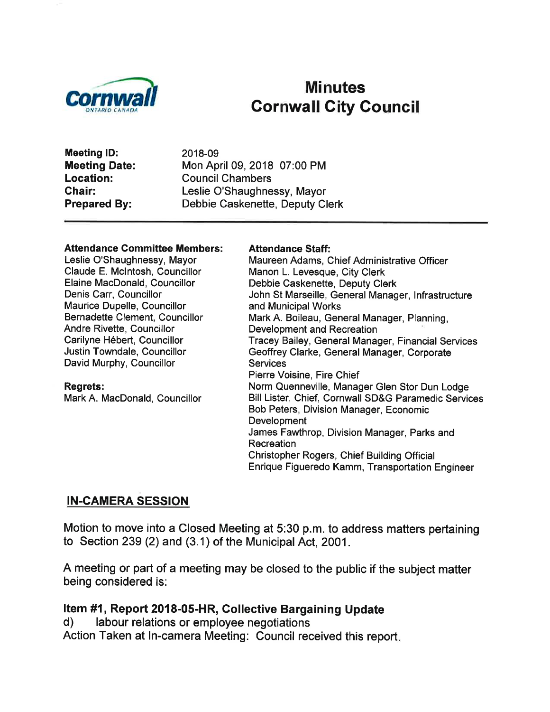

## Minutes Cornwall City Gouncil

Meeting lD: Meeting Date: Location: Ghair: Prepared By:

2018-09 Mon April 09,2018 07:00 PM Council Chambers Leslie O'Shaughnessy, Mayor Debbie Caskenette, Deputy Clerk

#### Attendance Committee Members:

Leslie O'Shaughnessy, Mayor Claude E. Mclntosh, Councillor Elaine MacDonald, Councillor Denis Carr, Councillor Maurice Dupelle, Councillor Bernadette Clement, Councillor Andre Rivette, Councillor Carilyne Hébert, Councillor Justin Towndale, Councillor David Murphy, Councillor

Regrets: Mark A. MacDonald, Councillor

#### Attendance Staff:

Maureen Adams, Chief Administrative Officer Manon L. Levesque, City Clerk Debbie Caskenette, Deputy Clerk John St Marseille, General Manager, lnfrastructure and Municipal Works Mark A. Boileau, General Manager, Planning, Development and Recreation Tracey Bailey, General Manager, Financial Services Geoffrey Clarke, General Manager, Corporate **Services** Pierre Voisine, Fire Chief Norm Quenneville, Manager Glen Stor Dun Lodge Bill Lister, Chief, Cornwall SD&G Paramedic Services Bob Peters, Division Manager, Economic **Development** James Fawthrop, Division Manager, Parks and Recreation Christopher Rogers, Chief Building Official Enrique Figueredo Kamm, Transportation Engineer

#### IN.CAMERA SESSION

Motion to move into a Closed Meeting at 5:30 p.m. to address matters pertaining to Section 239 (2) and (3.1) of the Municipal Act, 2001.

A meeting or part of a meeting may be closed to the public if the subject matter being considered is:

# Item #1, Report 2018-05-HR, Collective Bargaining Update<br>d) labour relations or employee negotiations

Action Taken at In-camera Meeting: Council received this report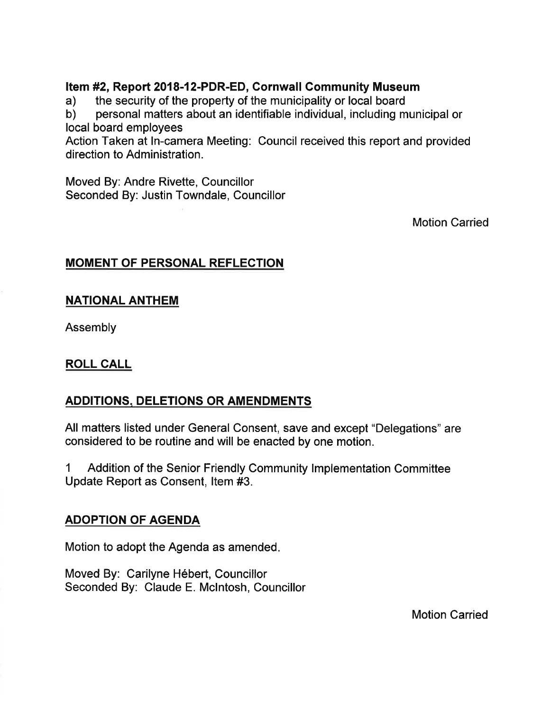Item #2, Report 2018-12-PDR-ED, Cornwall Community Museum<br>
a) the security of the property of the municipality or local board<br>
b) personal matters about an identifiable individual, including municipal or

local board employees

Action Taken at ln-camera Meeting: Council received this report and provided direction to Administration.

Moved By: Andre Rivette, Councillor Seconded By: Justin Towndale, Councillor

Motion Carried

#### MOMENT OF PERSONAL REFLECTION

#### NATIONAL ANTHEM

Assembly

#### ROLL CALL

#### ADDITIONS, DELETIONS OR AMENDMENTS

All matters listed under General Consent, save and except "Delegations" are considered to be routine and will be enacted by one motion.

1 Addition of the Senior Friendly Community Implementation Committee Update Report as Consent, ltem #3.

#### ADOPTION OF AGENDA

Motion to adopt the Agenda as amended

Moved By: Carilyne Hébert, Councillor Seconded By: Claude E. Mclntosh, Councillor

Motion Carried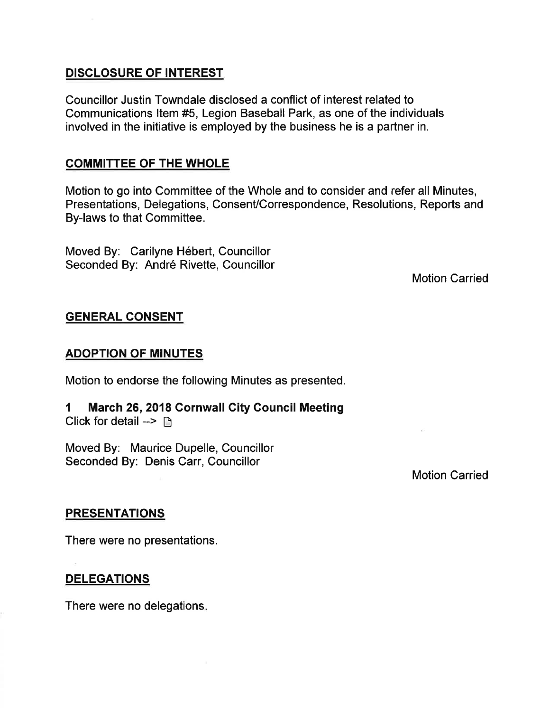#### DISCLOSURE OF INTEREST

Councillor Justin Towndale disclosed a conflict of interest related to Communications ltem #5, Legion Baseball Park, as one of the individuals involved in the initiative is employed by the business he is a partner in.

#### COMMITTEE OF THE WHOLE

Motion to go into Committee of the Whole and to consider and refer all Minutes, Presentations, Delegations, Consent/Correspondence, Resolutions, Reports and By-laws to that Committee.

Moved By: Carilyne Hébert, Councillor Seconded By: André Rivette, Councillor

Motion Carried

#### GENERAL CONSENT

#### ADOPTION OF MINUTES

Motion to endorse the following Minutes as presented.

1 March 26,2018 Cornwall Gity Gouncil Meeting Click for detail  $\rightarrow$   $\rightarrow$ 

Moved By: Maurice Dupelle, Councillor Seconded By: Denis Carr, Councillor

Motion Carried

#### **PRESENTATIONS**

There were no presentations.

#### DELEGATIONS

There were no delegations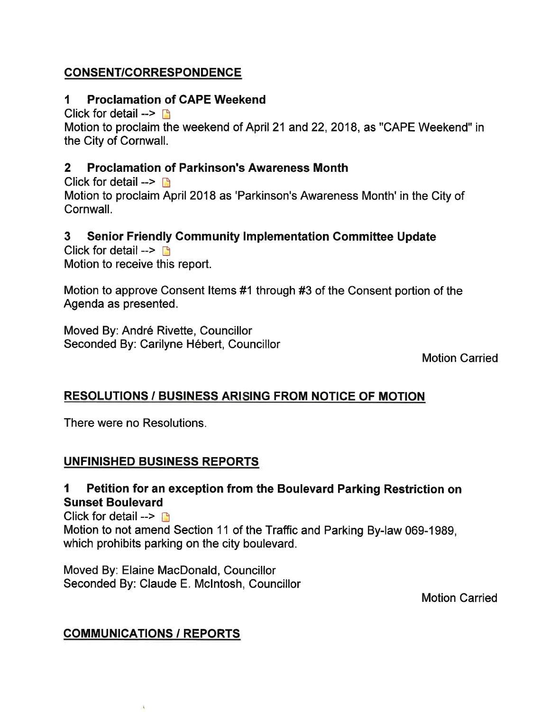#### CONSENT/CORRESPONDENCE

#### 1 Proclamation of GAPE Weekend

Click for detail  $\rightarrow$  D

Motion to proclaim the weekend of April 21 and 22, 2018, as "CAPE Weekend" in the City of Cornwall.

#### 2 Proclamation of Parkinson's Awareness Month

Click for detail  $\rightarrow \rightarrow$ Motion to proclaim April 2018 as 'Parkinson's Awareness Month' in the City of Cornwall.

#### 3 Senior Friendly Gommunity lmplementation Gommittee Update

Click for detail  $\rightarrow$  B Motion to receive this report.

Motion to approve Consent ltems #1 through #3 of the Consent portion of the Agenda as presented.

Moved By: André Rivette, Councillor Seconded By: Carilyne Hébert, Councillor

Motion Carried

#### RESOLUTIONS / BUSINESS ARISING FROM NOTICE OF MOTION

There were no Resolutions.

#### UNFINISHED BUSINESS REPORTS

#### I Petition for an exception from the Boulevard Parking Restriction on Sunset Boulevard

Click for detail  $\rightarrow$ Motion to not amend Section 11 of the Traffic and Parking By-law 069-1989, which prohibits parking on the city boulevard.

Moved By: Elaine MacDonald, Councillor Seconded By: Claude E. Mclntosh, Councillor

Motion Carried

#### **COMMUNICATIONS / REPORTS**

 $\alpha$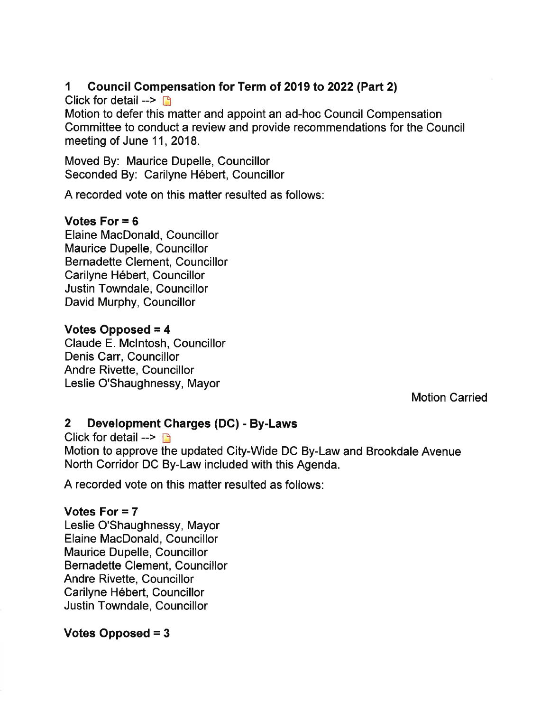#### 1 Council Gompensation for Term of 2019 to 2022 (Part 2)

Click for detail  $\rightarrow$   $\rightarrow$ 

Motion to defer this matter and appoint an ad-hoc Council Compensation Committee to conduct a review and provide recommendations for the Council meeting of June 11,2018.

Moved By: Maurice Dupelle, Councillor Seconded By: Carilyne Hébert, Councillor

A recorded vote on this matter resulted as follows:

#### Votes For  $= 6$

Elaine MacDonald, Councillor Maurice Dupelle, Councillor Bernadette Clement, Councillor Carilyne Hébert, Councillor Justin Towndale, Gouncillor David Murphy, Councillor

#### Votes Opposed = 4

Claude E. Mclntosh, Councillor Denis Carr, Councillor Andre Rivette, Councillor Leslie O'Shaughnessy, Mayor

Motion Carried

#### 2 Development Gharges (DG) - By-Laws

Click for detail  $\rightarrow$   $\rightarrow$ Motion to approve the updated City-Wide DC By-Law and Brookdale Avenue North Corridor DC By-Law included with this Agenda.

A recorded vote on this matter resulted as follows:

#### Votes For  $= 7$

Leslie O'Shaughnessy, Mayor Elaine MacDonald, Councillor Maurice Dupelle, Councillor Bernadette Clement, Councillor Andre Rivette, Councillor Carilyne Hébert, Councillor Justin Towndale, Councillor

#### Votes Opposed = 3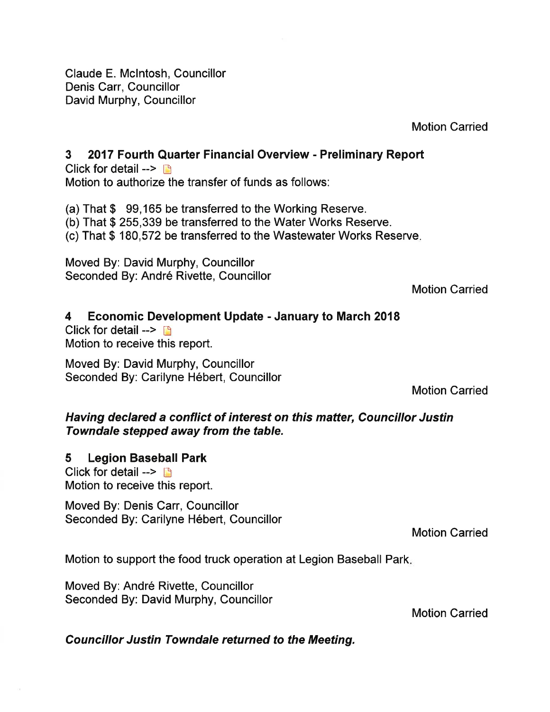Claude E. Mclntosh, Gouncillor Denis Carr, Councillor David Murphy, Councillor

Motion Carried

#### 3 2017 Fourth Quarter Financial Overview - Preliminary Report

Click for detail  $\rightarrow$  n Motion to authorize the transfer of funds as follows:

(a) That \$ 99,165 be transferred to the Working Reserve. (b) That \$ 255,339 be transferred to the Water Works Reserve. (c) That \$ 180,572 be transferred to the Wastewater Works Reserve

Moved By: David Murphy, Councillor Seconded By: André Rivette, Councillor

Motion Carried

#### 4 Economic Development Update - January to March 20'18

Click for detail  $\rightarrow$  n Motion to receive this report.

Moved By: David Murphy, Councillor Seconded By: Carilyne Hébert, Councillor

Motion Carried

#### Having declared a conflict of interest on this matter, Councillor Justin Towndale stepped away from the table.

#### 5 Legion Baseball Park

Click for detail  $\rightarrow$   $\rightarrow$ Motion to receive this report.

Moved By: Denis Carr, Councillor Seconded By: Carilyne Hébert, Councillor

Motion Carried

Motion to support the food truck operation at Legion Baseball Park

Moved By: André Rivette, Councillor Seconded By: David Murphy, Councillor

Motion Carried

Councillor Justin Towndale returned to the Meeting.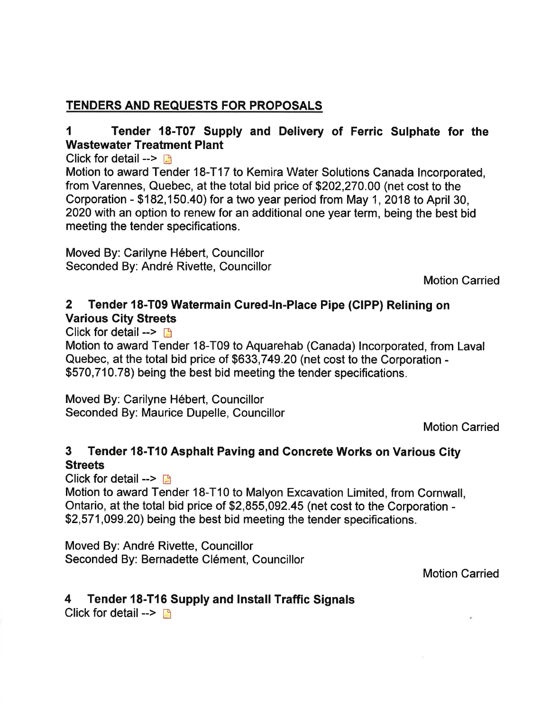#### TENDERS AND REQUESTS FOR PROPOSALS

#### I Tender 18-T07 Supply and Delivery of Ferric Sulphate for the Wastewater Treatment Plant

Click for detail -->  $\blacksquare$ 

Motion to award Tender 18-T17 to Kemira Water Solutions Canada lncorporated, from Varennes, Quebec, at the total bid price of \$202,270.00 (net cost to the Corporation - \$182,150.40) for a two year period from May 1, 2018 to April 30, 2020 with an option to renew for an additional one year term, being the best bid meeting the tender specifications.

Moved By: Carilyne Hébert, Councillor Seconded By: André Rivette, Councillor

Motion Carried

#### 2 Tender 18-T09 Watermain Cured-ln-Place Pipe (CIPP) Relining on Various Gity Streets

Click for detail  $\rightarrow$  D

Motion to award Tender 18-T09 to Aquarehab (Canada) lncorporated, from Laval Quebec, at the total bid price of \$633,749.20 (net cost to the Corporation - \$570,710.78) being the best bid meeting the tender specifications.

Moved By: Carilyne Hébert, Councillor Seconded By: Maurice Dupelle, Councillor

Motion Carried

#### 3 Tender 18-T10 Asphalt Paving and Concrete Works on Various City **Streets**

Click for detail -->  $\blacksquare$ 

Motion to award Tender 18-T10 to Malyon Excavation Limited, from Cornwall, Ontario, at the total bid price of \$2,855,092.45 (net cost to the Corporation - \$2,571,099.20) being the best bid meeting the tender specifications.

Moved By: André Rivette, Councillor Seconded By: Bernadette Clément, Councillor

Motion Carried

#### 4 Tender 18-T16 Supply and lnstall Traffic Signals

Click for detail  $\rightarrow$  B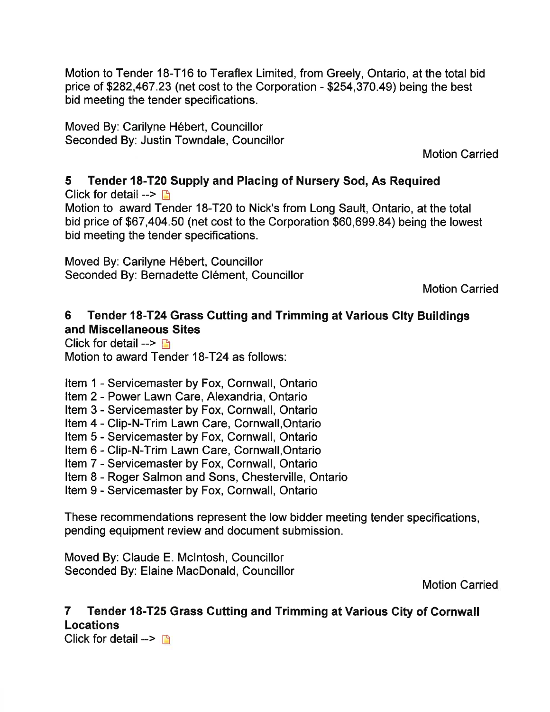Motion to Tender 18-T16 to Teraflex Limited, from Greely, Ontario, at the total bid price of \$282,467.23 (net cost to the Corporation - \$254,370.49) being the best bid meeting the tender specifications.

Moved By: Carilyne Hébert, Councillor Seconded By: Justin Towndale, Councillor

Motion Carried

5 Tender 18-T20 Supply and Placing of Nursery Sod, As Required Click for detail  $\rightarrow$  n Motion to award Tender 18-T20 to Nick's from Long Sault, Ontario, at the total bid price of \$67,404.50 (net cost to the Corporation \$60,699.84) being the lowest bid meeting the tender specifications.

Moved By: Carilyne Hébert, Councillor Seconded By: Bernadette Clément, Councillor

Motion Carried

#### 6 Tender 18-T24 Grass Cutting and Trimming at Various City Buildings and Miscellaneous Sites

Click for detail  $\rightarrow$  n Motion to award Tender 18-T24 as follows:

Item 1 - Servicemaster by Fox, Cornwall, Ontario

Item 2 - Power Lawn Care, Alexandria, Ontario

Item 3 - Servicemaster by Fox, Cornwall, Ontario

- Item 4 Clip-N-Trim Lawn Care, Cornwall,Ontario
- Item 5 Servicemaster by Fox, Cornwall, Ontario
- Item 6 Clip-N-Trim Lawn Care, Cornwall,Ontario
- Item 7 Servicemaster by Fox, Cornwall, Ontario
- Item 8 Roger Salmon and Sons, Chesterville, Ontario
- Item 9 Servicemaster by Fox, Cornwall, Ontario

These recommendations represent the low bidder meeting tender specifications, pending equipment review and document submission.

Moved By: Claude E. Mclntosh, Councillor Seconded By: Elaine MacDonald, Councillor

Motion Carried

### 7 Tender 18-T25 Grass Gutting and Trimming at Various Gity of Gornwall Locations

Click for detail  $\rightarrow$  n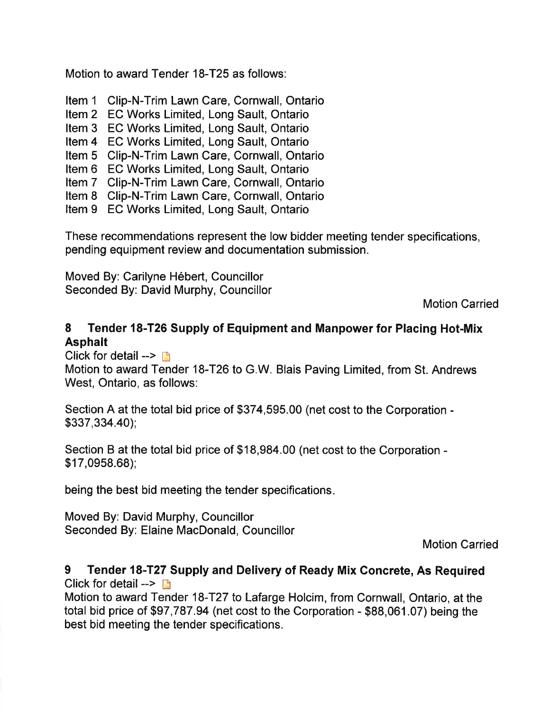Motion to award Tender 18-T25 as follows:

Item <sup>1</sup> Clip-N-Trim Lawn Care, Cornwall, Ontario

Item 2 EC Works Limited, Long Sault, Ontario

Item 3 EC Works Limited, Long Sault, Ontario

Item 4 EC Works Limited, Long Sault, Ontario

Item 5 Clip-N-Trim Lawn Care, Cornwall, Ontario

Item 6 EC Works Limited, Long Sault, Ontario

Item 7 Clip-N-Trim Lawn Care, Cornwall, Ontario

Item 8 Clip-N-Trim Lawn Care, Cornwall, Ontario

Item 9 EC Works Limited, Long Sault, Ontario

These recommendations represent the low bidder meeting tender specifications, pending equipment review and documentation submission.

Moved By: Carilyne Hébert, Councillor Seconded By: David Murphy, Councillor

Motion Carried

#### 8 Tender 18-T26 Supply of Equipment and Manpower for Placing Hot-Mix Asphalt

Click for detail  $\rightarrow$   $\rightarrow$ 

Motion to award Tender 18-T26 to G.W. Blais Paving Limited, from St. Andrews West, Ontario, as follows:

Section A at the total bid price of \$374,595.00 (net cost to the Corporation - \$337,334.40);

Section B at the total bid price of \$18,984.00 (net cost to the Corporation - \$17,0958.68);

being the best bid meeting the tender specifications

Moved By: David Murphy, Councillor Seconded By: Elaine MacDonald, Councillor

Motion Carried

#### 9 Tender 18-T27 Supply and Delivery of Ready Mix Concrete, As Required Click for detail  $\rightarrow$  n

Motion to award Tender 18-T27 to Lafarge Holcim, from Cornwall, Ontario, at the total bid price of \$97,787.94 (net cost to the Corporation - \$88,061.07) being the best bid meeting the tender specifications.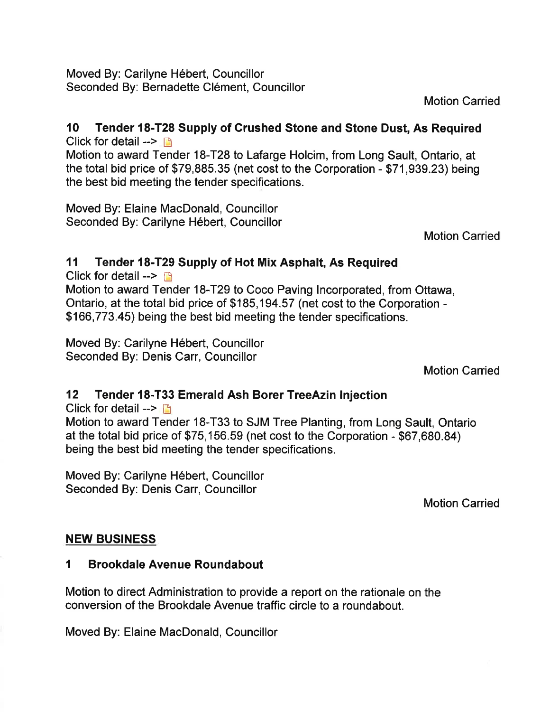Moved By: Carilyne Hébert, Councillor Seconded By: Bernadette Clément, Councillor

Motion Carried

# l0 Tender 18-T28 Supply of Crushed Stone and Stone Dust, As Required

Click for detail  $\rightarrow$  n

Motion to award Tender 18-T28 to Lafarge Holcim, from Long Sault, Ontario, at the total bid price of \$79,885.35 (net cost to the Corporation - \$71,939.23) being the best bid meeting the tender specifications.

Moved By: Elaine MacDonald, Councillor Seconded By: Carilyne Hébert, Councillor

Motion Carried

#### 11 Tender 18-T29 Supply of Hot Mix Asphalt, As Required

Click for detail  $\rightarrow \rightarrow$ 

Motion to award Tender 18-T29 to Coco Paving lncorporated, from Ottawa, Ontario, at the total bid price of \$185,194.57 (net cost to the Corporation - \$166,773.45) being the best bid meeting the tender specifications.

Moved By: Carilyne Hébert, Councillor Seconded By: Denis Carr, Councillor

Motion Carried

#### 12 Tender 18-T33 Emerald Ash Borer TreeAzin lnjection

Click for detail  $\rightarrow$  D Motion to award Tender 18-T33 to SJM Tree Planting, from Long Sault, Ontario

at the total bid price of \$75,156.59 (net cost to the Corporation - \$67,680.84) being the best bid meeting the tender specifications.

Moved By: Carilyne Hébert, Councillor Seconded By: Denis Carr, Councillor

Motion Carried

#### NEW BUSINESS

#### 1 Brookdale Avenue Roundabout

Motion to direct Administration to provide a report on the rationale on the conversion of the Brookdale Avenue traffic circle to a roundabout.

Moved By: Elaine MacDonald, Councillor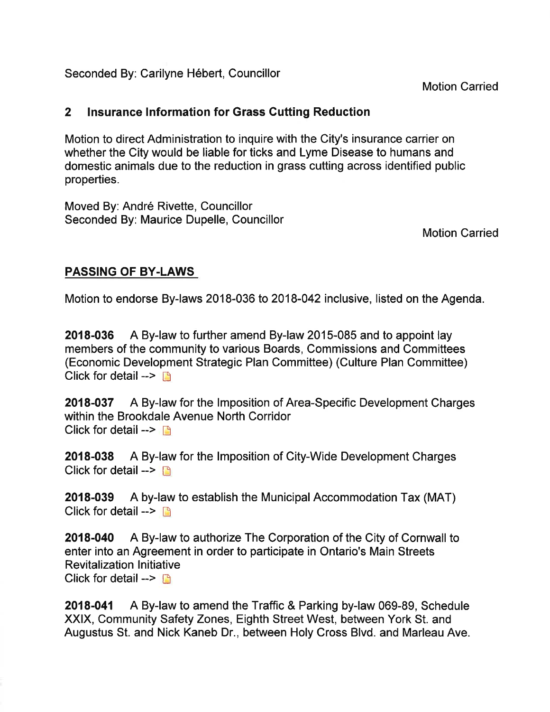Seconded By: Carilyne Hébert, Councillor

Motion Carried

#### 2 Insurance lnformation for Grass Gutting Reduction

Motion to direct Administration to inquire with the City's insurance carrier on whether the City would be liable for ticks and Lyme Disease to humans and domestic animals due to the reduction in grass cutting across identified public properties.

Moved By: André Rivette, Councillor Seconded By: Maurice Dupelle, Councillor

Motion Carried

#### PASSING OF BY.LAWS

Motion to endorse By-laws 2018-036 to 2018-042 inclusive, listed on the Agenda.

2018-036 A By-law to further amend By-law 2015-085 and to appoint lay members of the community to various Boards, Commissions and Committees (Economic Development Strategic Plan Committee) (Culture Plan Committee) Click for detail  $\rightarrow$  n

2018-037 A By-law for the lmposition of Area-Specific Development Charges within the Brookdale Avenue North Corridor Click for detail  $\rightarrow$   $\rightarrow$ 

2018-038 A By-law for the lmposition of City-Wide Development Charges Click for detail  $\rightarrow$ 

2018-039 A by-law to establish the Municipal Accommodation Tax (MAT) Click for detail  $\rightarrow$ 

2018-040 A By-law to authorize The Corporation of the City of Cornwall to enter into an Agreement in order to participate in Ontario's Main Streets **Revitalization Initiative** Click for detail  $\rightarrow$ 

2018-041 A By-law to amend the Traffic & Parking by-law 069-89, Schedule XXIX, Community Safety Zones, Eighth Street West, between York St. and Augustus St. and Nick Kaneb Dr., between Holy Cross Blvd. and Marleau Ave.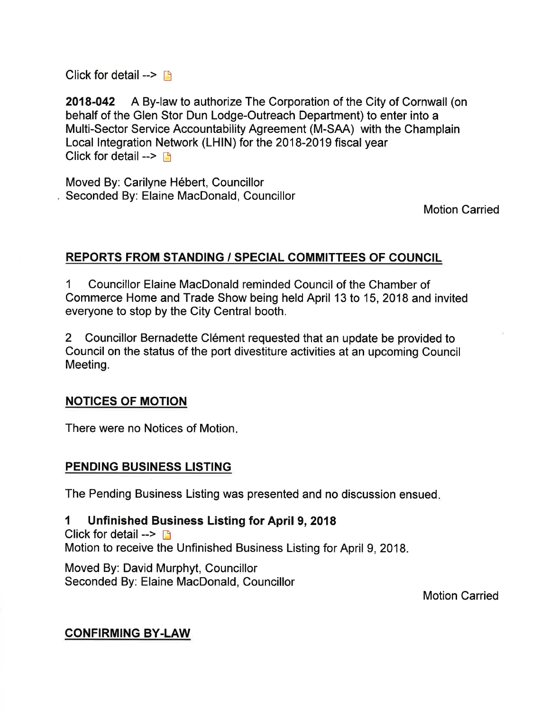Click for detail  $\rightarrow$  n

2018-042 A By-law to authorize The Corporation of the City of Cornwall (on behalf of the Glen Stor Dun Lodge-Outreach Department) to enter into a Multi-Sector Service Accountability Agreement (M-SAA) with the Champlain Local lntegration Network (LHIN) for the 2018-2019 fiscal year Click for detail  $\rightarrow$   $\rightarrow$ 

Moved By: Carilyne Hébert, Councillor , Seconded By: Elaine MacDonald, Councillor

Motion Carried

#### REPORTS FROM STANDING / SPECIAL COMMITTEES OF COUNCIL

1 Councillor Elaine MacDonald reminded Council of the Chamber of Commerce Home and Trade Show being held April 13 to 15,2018 and invited everyone to stop by the City Central booth.

2 Councillor Bernadette Clément requested that an update be provided to Council on the status of the port divestiture activities at an upcoming Council Meeting.

#### NOTICES OF MOTION

There were no Notices of Motion

#### PENDING BUSINESS LISTING

The Pending Business Listing was presented and no discussion ensued

#### 1 Unfinished Business Listing for April 9, 2018

Click for detail  $\rightarrow \rightarrow$ 

Motion to receive the Unfinished Business Listing for April 9,2018.

Moved By: David Murphyt, Councillor Seconded By: Elaine MacDonald, Councillor

Motion Carried

#### CONFIRMING BY.LAW